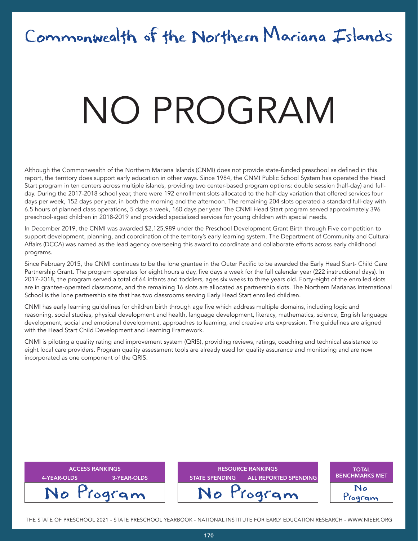# Commonwealth of the Northern Mariana Islands

# NATA T NO PROGRAM

Although the Commonwealth of the Northern Mariana Islands (CNMI) does not provide state-funded preschool as defined in this report, the territory does support early education in other ways. Since 1984, the CNMI Public School System has operated the Head Start program in ten centers across multiple islands, providing two center-based program options: double session (half-day) and fullday. During the 2017-2018 school year, there were 192 enrollment slots allocated to the half-day variation that offered services four days per week, 152 days per year, in both the morning and the afternoon. The remaining 204 slots operated a standard full-day with 6.5 hours of planned class operations, 5 days a week, 160 days per year. The CNMI Head Start program served approximately 396 preschool-aged children in 2018-2019 and provided specialized services for young children with special needs.

In December 2019, the CNMI was awarded \$2,125,989 under the Preschool Development Grant Birth through Five competition to support development, planning, and coordination of the territory's early learning system. The Department of Community and Cultural Affairs (DCCA) was named as the lead agency overseeing this award to coordinate and collaborate efforts across early childhood programs.

Since February 2015, the CNMI continues to be the lone grantee in the Outer Pacific to be awarded the Early Head Start- Child Care Partnership Grant. The program operates for eight hours a day, five days a week for the full calendar year (222 instructional days). In 2017-2018, the program served a total of 64 infants and toddlers, ages six weeks to three years old. Forty-eight of the enrolled slots are in grantee-operated classrooms, and the remaining 16 slots are allocated as partnership slots. The Northern Marianas International School is the lone partnership site that has two classrooms serving Early Head Start enrolled children.

CNMI has early learning guidelines for children birth through age five which address multiple domains, including logic and reasoning, social studies, physical development and health, language development, literacy, mathematics, science, English language development, social and emotional development, approaches to learning, and creative arts expression. The guidelines are aligned with the Head Start Child Development and Learning Framework.

CNMI is piloting a quality rating and improvement system (QRIS), providing reviews, ratings, coaching and technical assistance to eight local care providers. Program quality assessment tools are already used for quality assurance and monitoring and are now incorporated as one component of the QRIS.

| <b>ACCESS RANKINGS</b><br>3-YEAR-OLDS<br>4-YEAR-OLDS | <b>RESOURCE RANKINGS</b><br><b>STATE SPENDING</b><br>ALL REPORTED SPENDING | <b>TOTAL</b><br><b>BENCHMARKS MET</b> |
|------------------------------------------------------|----------------------------------------------------------------------------|---------------------------------------|
| No Program                                           | No Program                                                                 | Togram                                |

THE STATE OF PRESCHOOL 2021 - STATE PRESCHOOL YEARBOOK - NATIONAL INSTITUTE FOR EARLY EDUCATION RESEARCH - WWW.NIEER.ORG